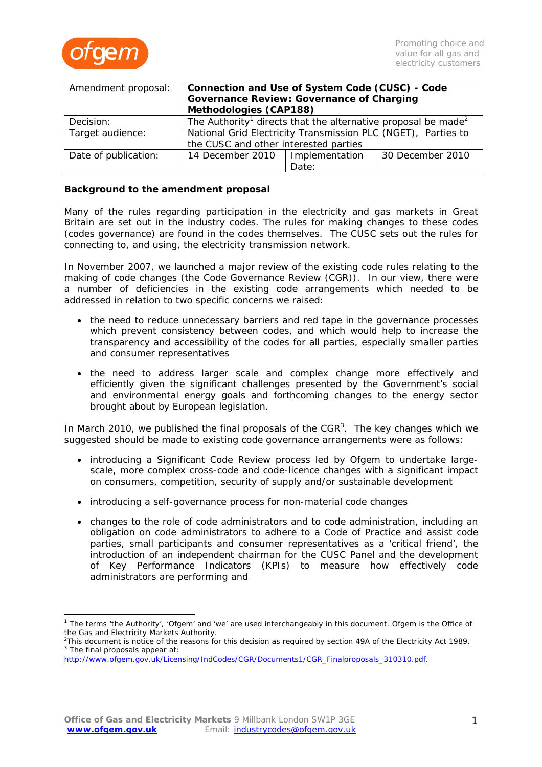

| Amendment proposal:  | Connection and Use of System Code (CUSC) - Code<br><b>Governance Review: Governance of Charging</b><br>Methodologies (CAP188) |                |                  |
|----------------------|-------------------------------------------------------------------------------------------------------------------------------|----------------|------------------|
| Decision:            | The Authority <sup>1</sup> directs that the alternative proposal be made <sup>2</sup>                                         |                |                  |
| Target audience:     | National Grid Electricity Transmission PLC (NGET), Parties to                                                                 |                |                  |
|                      | the CUSC and other interested parties                                                                                         |                |                  |
| Date of publication: | 14 December 2010                                                                                                              | Implementation | 30 December 2010 |
|                      |                                                                                                                               | Date:          |                  |

## **Background to the amendment proposal**

Many of the rules regarding participation in the electricity and gas markets in Great Britain are set out in the industry codes. The rules for making changes to these codes (codes governance) are found in the codes themselves. The CUSC sets out the rules for connecting to, and using, the electricity transmission network.

In November 2007, we launched a major review of the existing code rules relating to the making of code changes (the Code Governance Review (CGR)). In our view, there were a number of deficiencies in the existing code arrangements which needed to be addressed in relation to two specific concerns we raised:

- the need to reduce unnecessary barriers and red tape in the governance processes which prevent consistency between codes, and which would help to increase the transparency and accessibility of the codes for all parties, especially smaller parties and consumer representatives
- the need to address larger scale and complex change more effectively and efficiently given the significant challenges presented by the Government's social and environmental energy goals and forthcoming changes to the energy sector brought about by European legislation.

In March 2010, we published the final proposals of the  $CGR<sup>3</sup>$ . The key changes which we suggested should be made to existing code governance arrangements were as follows:

- introducing a Significant Code Review process led by Ofgem to undertake largescale, more complex cross-code and code-licence changes with a significant impact on consumers, competition, security of supply and/or sustainable development
- introducing a self-governance process for non-material code changes
- changes to the role of code administrators and to code administration, including an obligation on code administrators to adhere to a Code of Practice and assist code parties, small participants and consumer representatives as a 'critical friend', the introduction of an independent chairman for the CUSC Panel and the development of Key Performance Indicators (KPIs) to measure how effectively code administrators are performing and

<sup>&</sup>lt;sup>1</sup> The terms 'the Authority', 'Ofgem' and 'we' are used interchangeably in this document. Ofgem is the Office of the Gas and Electricity Markets Authority.

<sup>&</sup>lt;sup>2</sup>This document is notice of the reasons for this decision as required by section 49A of the Electricity Act 1989.<br><sup>3</sup> The final prenesals appear at:  $3$  The final proposals appear at:

http://www.ofgem.gov.uk/Licensing/IndCodes/CGR/Documents1/CGR\_Finalproposals\_310310.pdf.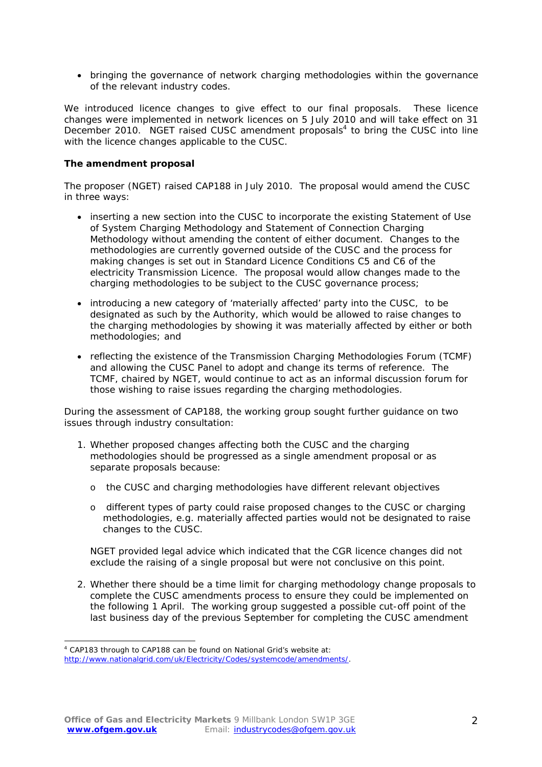• bringing the governance of network charging methodologies within the governance of the relevant industry codes.

We introduced licence changes to give effect to our final proposals. These licence changes were implemented in network licences on 5 July 2010 and will take effect on 31 December 2010. NGET raised CUSC amendment proposals $4$  to bring the CUSC into line with the licence changes applicable to the CUSC.

### **The amendment proposal**

The proposer (NGET) raised CAP188 in July 2010. The proposal would amend the CUSC in three ways:

- inserting a new section into the CUSC to incorporate the existing Statement of Use of System Charging Methodology and Statement of Connection Charging Methodology without amending the content of either document. Changes to the methodologies are currently governed outside of the CUSC and the process for making changes is set out in Standard Licence Conditions C5 and C6 of the electricity Transmission Licence. The proposal would allow changes made to the charging methodologies to be subject to the CUSC governance process;
- introducing a new category of 'materially affected' party into the CUSC, to be designated as such by the Authority, which would be allowed to raise changes to the charging methodologies by showing it was materially affected by either or both methodologies; and
- reflecting the existence of the Transmission Charging Methodologies Forum (TCMF) and allowing the CUSC Panel to adopt and change its terms of reference. The TCMF, chaired by NGET, would continue to act as an informal discussion forum for those wishing to raise issues regarding the charging methodologies.

During the assessment of CAP188, the working group sought further guidance on two issues through industry consultation:

- 1. Whether proposed changes affecting both the CUSC and the charging methodologies should be progressed as a single amendment proposal or as separate proposals because:
	- o the CUSC and charging methodologies have different relevant objectives
	- o different types of party could raise proposed changes to the CUSC or charging methodologies, e.g. materially affected parties would not be designated to raise changes to the CUSC.

NGET provided legal advice which indicated that the CGR licence changes did not exclude the raising of a single proposal but were not conclusive on this point.

2. Whether there should be a time limit for charging methodology change proposals to complete the CUSC amendments process to ensure they could be implemented on the following 1 April. The working group suggested a possible cut-off point of the last business day of the previous September for completing the CUSC amendment

<sup>4</sup> CAP183 through to CAP188 can be found on National Grid's website at: http://www.nationalgrid.com/uk/Electricity/Codes/systemcode/amendments/.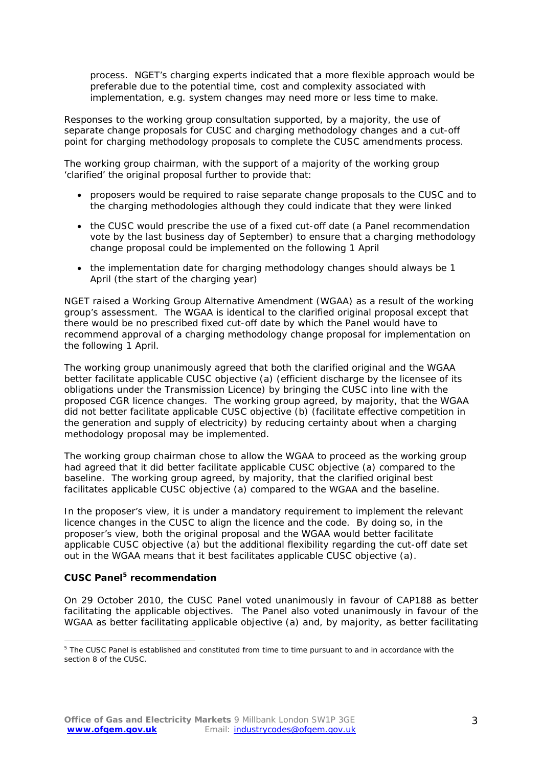process. NGET's charging experts indicated that a more flexible approach would be preferable due to the potential time, cost and complexity associated with implementation, e.g. system changes may need more or less time to make.

Responses to the working group consultation supported, by a majority, the use of separate change proposals for CUSC and charging methodology changes and a cut-off point for charging methodology proposals to complete the CUSC amendments process.

The working group chairman, with the support of a majority of the working group 'clarified' the original proposal further to provide that:

- proposers would be required to raise separate change proposals to the CUSC and to the charging methodologies although they could indicate that they were linked
- the CUSC would prescribe the use of a fixed cut-off date (a Panel recommendation vote by the last business day of September) to ensure that a charging methodology change proposal could be implemented on the following 1 April
- the implementation date for charging methodology changes should always be 1 April (the start of the charging year)

NGET raised a Working Group Alternative Amendment (WGAA) as a result of the working group's assessment. The WGAA is identical to the clarified original proposal except that there would be no prescribed fixed cut-off date by which the Panel would have to recommend approval of a charging methodology change proposal for implementation on the following 1 April.

The working group unanimously agreed that both the clarified original and the WGAA better facilitate applicable CUSC objective (a) (efficient discharge by the licensee of its obligations under the Transmission Licence) by bringing the CUSC into line with the proposed CGR licence changes. The working group agreed, by majority, that the WGAA did not better facilitate applicable CUSC objective (b) (facilitate effective competition in the generation and supply of electricity) by reducing certainty about when a charging methodology proposal may be implemented.

The working group chairman chose to allow the WGAA to proceed as the working group had agreed that it did better facilitate applicable CUSC objective (a) compared to the baseline. The working group agreed, by majority, that the clarified original best facilitates applicable CUSC objective (a) compared to the WGAA and the baseline.

In the proposer's view, it is under a mandatory requirement to implement the relevant licence changes in the CUSC to align the licence and the code. By doing so, in the proposer's view, both the original proposal and the WGAA would better facilitate applicable CUSC objective (a) but the additional flexibility regarding the cut-off date set out in the WGAA means that it best facilitates applicable CUSC objective (a).

# **CUSC Panel5 recommendation**

On 29 October 2010, the CUSC Panel voted unanimously in favour of CAP188 as better facilitating the applicable objectives. The Panel also voted unanimously in favour of the WGAA as better facilitating applicable objective (a) and, by majority, as better facilitating

<sup>&</sup>lt;sup>5</sup> The CUSC Panel is established and constituted from time to time pursuant to and in accordance with the section 8 of the CUSC.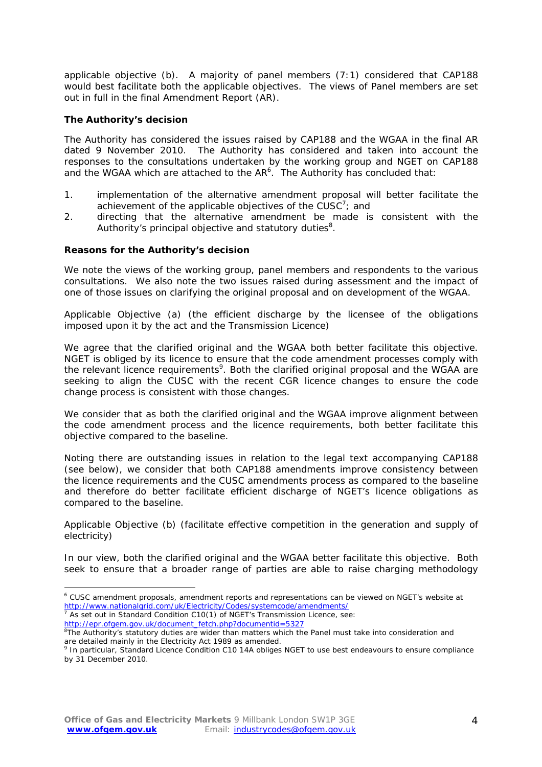applicable objective (b). A majority of panel members (7:1) considered that CAP188 would best facilitate both the applicable objectives. The views of Panel members are set out in full in the final Amendment Report (AR).

## **The Authority's decision**

The Authority has considered the issues raised by CAP188 and the WGAA in the final AR dated 9 November 2010. The Authority has considered and taken into account the responses to the consultations undertaken by the working group and NGET on CAP188 and the WGAA which are attached to the  $AR^6$ . The Authority has concluded that:

- 1. implementation of the alternative amendment proposal will better facilitate the achievement of the applicable objectives of the CUSC<sup>7</sup>; and
- 2. directing that the alternative amendment be made is consistent with the Authority's principal objective and statutory duties<sup>8</sup>.

## **Reasons for the Authority's decision**

We note the views of the working group, panel members and respondents to the various consultations. We also note the two issues raised during assessment and the impact of one of those issues on clarifying the original proposal and on development of the WGAA.

*Applicable Objective (a) (the efficient discharge by the licensee of the obligations imposed upon it by the act and the Transmission Licence)* 

We agree that the clarified original and the WGAA both better facilitate this objective. NGET is obliged by its licence to ensure that the code amendment processes comply with the relevant licence requirements<sup>9</sup>. Both the clarified original proposal and the WGAA are seeking to align the CUSC with the recent CGR licence changes to ensure the code change process is consistent with those changes.

We consider that as both the clarified original and the WGAA improve alignment between the code amendment process and the licence requirements, both better facilitate this objective compared to the baseline.

Noting there are outstanding issues in relation to the legal text accompanying CAP188 (see below), we consider that both CAP188 amendments improve consistency between the licence requirements and the CUSC amendments process as compared to the baseline and therefore do better facilitate efficient discharge of NGET's licence obligations as compared to the baseline.

*Applicable Objective (b) (facilitate effective competition in the generation and supply of electricity)*

In our view, both the clarified original and the WGAA better facilitate this objective. Both seek to ensure that a broader range of parties are able to raise charging methodology

 6 CUSC amendment proposals, amendment reports and representations can be viewed on NGET's website at http://www.nationalgrid.com/uk/Electricity/Codes/systemcode/amendments/ 7

As set out in Standard Condition C10(1) of NGET's Transmission Licence, see: http://epr.ofgem.gov.uk/document\_fetch.php?documentid=5327

<sup>&</sup>lt;sup>8</sup>The Authority's statutory duties are wider than matters which the Panel must take into consideration and are detailed mainly in the Electricity Act 1989 as amended.

<sup>&</sup>lt;sup>9</sup> In particular, Standard Licence Condition C10 14A obliges NGET to use best endeavours to ensure compliance by 31 December 2010.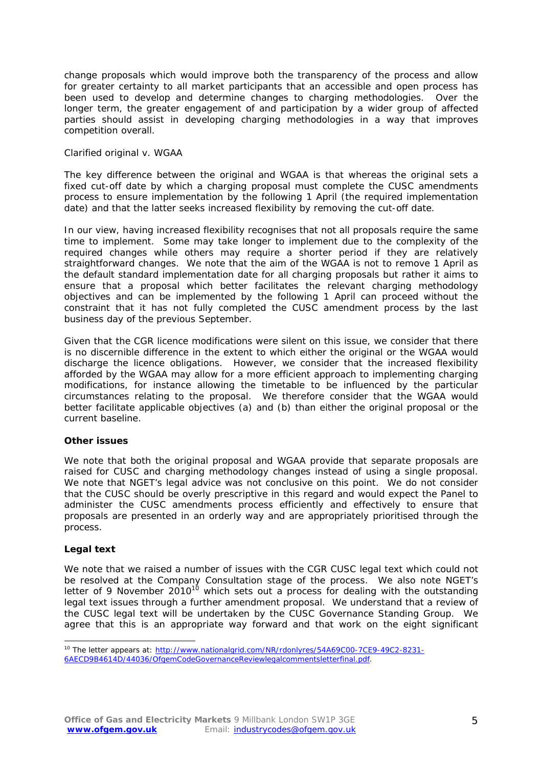change proposals which would improve both the transparency of the process and allow for greater certainty to all market participants that an accessible and open process has been used to develop and determine changes to charging methodologies. Over the longer term, the greater engagement of and participation by a wider group of affected parties should assist in developing charging methodologies in a way that improves competition overall.

## *Clarified original v. WGAA*

The key difference between the original and WGAA is that whereas the original sets a fixed cut-off date by which a charging proposal must complete the CUSC amendments process to ensure implementation by the following 1 April (the required implementation date) and that the latter seeks increased flexibility by removing the cut-off date.

In our view, having increased flexibility recognises that not all proposals require the same time to implement. Some may take longer to implement due to the complexity of the required changes while others may require a shorter period if they are relatively straightforward changes. We note that the aim of the WGAA is not to remove 1 April as the default standard implementation date for all charging proposals but rather it aims to ensure that a proposal which better facilitates the relevant charging methodology objectives and can be implemented by the following 1 April can proceed without the constraint that it has not fully completed the CUSC amendment process by the last business day of the previous September.

Given that the CGR licence modifications were silent on this issue, we consider that there is no discernible difference in the extent to which either the original or the WGAA would discharge the licence obligations. However, we consider that the increased flexibility afforded by the WGAA may allow for a more efficient approach to implementing charging modifications, for instance allowing the timetable to be influenced by the particular circumstances relating to the proposal. We therefore consider that the WGAA would better facilitate applicable objectives (a) and (b) than either the original proposal or the current baseline.

### **Other issues**

We note that both the original proposal and WGAA provide that separate proposals are raised for CUSC and charging methodology changes instead of using a single proposal. We note that NGET's legal advice was not conclusive on this point. We do not consider that the CUSC should be overly prescriptive in this regard and would expect the Panel to administer the CUSC amendments process efficiently and effectively to ensure that proposals are presented in an orderly way and are appropriately prioritised through the process.

### **Legal text**

We note that we raised a number of issues with the CGR CUSC legal text which could not be resolved at the Company Consultation stage of the process. We also note NGET's letter of 9 November 2010<sup>10</sup> which sets out a process for dealing with the outstanding legal text issues through a further amendment proposal. We understand that a review of the CUSC legal text will be undertaken by the CUSC Governance Standing Group. We agree that this is an appropriate way forward and that work on the eight significant

<sup>&</sup>lt;sup>10</sup> The letter appears at: http://www.nationalgrid.com/NR/rdonlyres/54A69C00-7CE9-49C2-8231-6AECD9B4614D/44036/OfgemCodeGovernanceReviewlegalcommentsletterfinal.pdf.